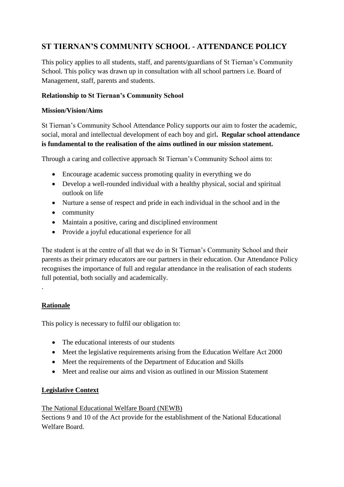# **ST TIERNAN'S COMMUNITY SCHOOL - ATTENDANCE POLICY**

This policy applies to all students, staff, and parents/guardians of St Tiernan's Community School. This policy was drawn up in consultation with all school partners i.e. Board of Management, staff, parents and students.

## **Relationship to St Tiernan's Community School**

## **Mission/Vision/Aims**

St Tiernan's Community School Attendance Policy supports our aim to foster the academic, social, moral and intellectual development of each boy and girl**. Regular school attendance is fundamental to the realisation of the aims outlined in our mission statement.**

Through a caring and collective approach St Tiernan's Community School aims to:

- Encourage academic success promoting quality in everything we do
- Develop a well-rounded individual with a healthy physical, social and spiritual outlook on life
- Nurture a sense of respect and pride in each individual in the school and in the
- community
- Maintain a positive, caring and disciplined environment
- Provide a joyful educational experience for all

The student is at the centre of all that we do in St Tiernan's Community School and their parents as their primary educators are our partners in their education. Our Attendance Policy recognises the importance of full and regular attendance in the realisation of each students full potential, both socially and academically.

## **Rationale**

.

This policy is necessary to fulfil our obligation to:

- The educational interests of our students
- Meet the legislative requirements arising from the Education Welfare Act 2000
- Meet the requirements of the Department of Education and Skills
- Meet and realise our aims and vision as outlined in our Mission Statement

## **Legislative Context**

## The National Educational Welfare Board (NEWB)

Sections 9 and 10 of the Act provide for the establishment of the National Educational Welfare Board.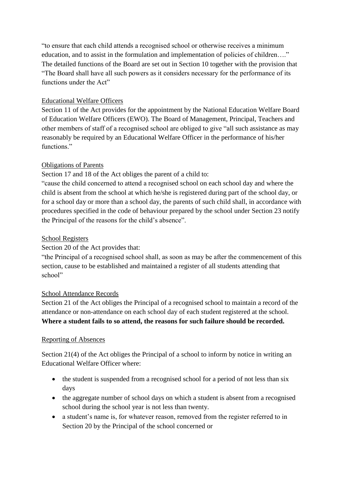"to ensure that each child attends a recognised school or otherwise receives a minimum education, and to assist in the formulation and implementation of policies of children…." The detailed functions of the Board are set out in Section 10 together with the provision that "The Board shall have all such powers as it considers necessary for the performance of its functions under the Act"

### Educational Welfare Officers

Section 11 of the Act provides for the appointment by the National Education Welfare Board of Education Welfare Officers (EWO). The Board of Management, Principal, Teachers and other members of staff of a recognised school are obliged to give "all such assistance as may reasonably be required by an Educational Welfare Officer in the performance of his/her functions."

#### Obligations of Parents

Section 17 and 18 of the Act obliges the parent of a child to:

"cause the child concerned to attend a recognised school on each school day and where the child is absent from the school at which he/she is registered during part of the school day, or for a school day or more than a school day, the parents of such child shall, in accordance with procedures specified in the code of behaviour prepared by the school under Section 23 notify the Principal of the reasons for the child's absence".

#### School Registers

Section 20 of the Act provides that:

"the Principal of a recognised school shall, as soon as may be after the commencement of this section, cause to be established and maintained a register of all students attending that school"

#### School Attendance Records

Section 21 of the Act obliges the Principal of a recognised school to maintain a record of the attendance or non-attendance on each school day of each student registered at the school. **Where a student fails to so attend, the reasons for such failure should be recorded.**

#### Reporting of Absences

Section 21(4) of the Act obliges the Principal of a school to inform by notice in writing an Educational Welfare Officer where:

- the student is suspended from a recognised school for a period of not less than six days
- the aggregate number of school days on which a student is absent from a recognised school during the school year is not less than twenty.
- a student's name is, for whatever reason, removed from the register referred to in Section 20 by the Principal of the school concerned or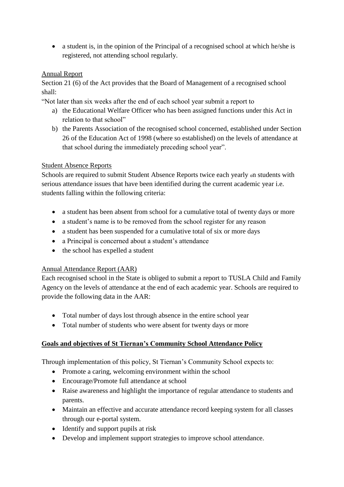• a student is, in the opinion of the Principal of a recognised school at which he/she is registered, not attending school regularly.

#### Annual Report

Section 21 (6) of the Act provides that the Board of Management of a recognised school shall:

"Not later than six weeks after the end of each school year submit a report to

- a) the Educational Welfare Officer who has been assigned functions under this Act in relation to that school"
- b) the Parents Association of the recognised school concerned, established under Section 26 of the Education Act of 1998 (where so established) on the levels of attendance at that school during the immediately preceding school year".

#### Student Absence Reports

Schools are required to submit Student Absence Reports twice each yearly on students with serious attendance issues that have been identified during the current academic year i.e. students falling within the following criteria:

- a student has been absent from school for a cumulative total of twenty days or more
- a student's name is to be removed from the school register for any reason
- a student has been suspended for a cumulative total of six or more days
- a Principal is concerned about a student's attendance
- $\bullet$  the school has expelled a student

#### Annual Attendance Report (AAR)

Each recognised school in the State is obliged to submit a report to TUSLA Child and Family Agency on the levels of attendance at the end of each academic year. Schools are required to provide the following data in the AAR:

- Total number of days lost through absence in the entire school year
- Total number of students who were absent for twenty days or more

## **Goals and objectives of St Tiernan's Community School Attendance Policy**

Through implementation of this policy, St Tiernan's Community School expects to:

- Promote a caring, welcoming environment within the school
- Encourage/Promote full attendance at school
- Raise awareness and highlight the importance of regular attendance to students and parents.
- Maintain an effective and accurate attendance record keeping system for all classes through our e-portal system.
- Identify and support pupils at risk
- Develop and implement support strategies to improve school attendance.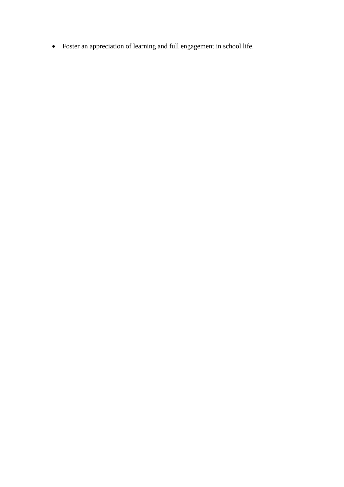Foster an appreciation of learning and full engagement in school life.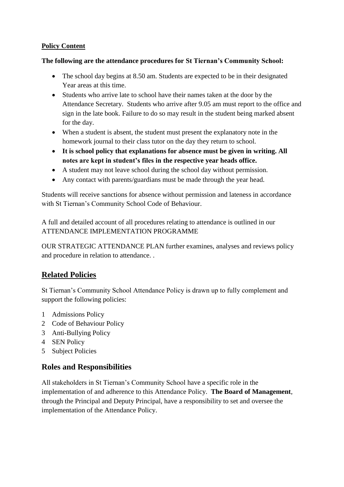### **Policy Content**

#### **The following are the attendance procedures for St Tiernan's Community School:**

- The school day begins at 8.50 am. Students are expected to be in their designated Year areas at this time.
- Students who arrive late to school have their names taken at the door by the Attendance Secretary. Students who arrive after 9.05 am must report to the office and sign in the late book. Failure to do so may result in the student being marked absent for the day.
- When a student is absent, the student must present the explanatory note in the homework journal to their class tutor on the day they return to school.
- **It is school policy that explanations for absence must be given in writing. All notes are kept in student's files in the respective year heads office.**
- A student may not leave school during the school day without permission.
- Any contact with parents/guardians must be made through the year head.

Students will receive sanctions for absence without permission and lateness in accordance with St Tiernan's Community School Code of Behaviour.

A full and detailed account of all procedures relating to attendance is outlined in our ATTENDANCE IMPLEMENTATION PROGRAMME

OUR STRATEGIC ATTENDANCE PLAN further examines, analyses and reviews policy and procedure in relation to attendance. .

## **Related Policies**

St Tiernan's Community School Attendance Policy is drawn up to fully complement and support the following policies:

- 1 Admissions Policy
- 2 Code of Behaviour Policy
- 3 Anti-Bullying Policy
- 4 SEN Policy
- 5 Subject Policies

## **Roles and Responsibilities**

All stakeholders in St Tiernan's Community School have a specific role in the implementation of and adherence to this Attendance Policy. **The Board of Management**, through the Principal and Deputy Principal, have a responsibility to set and oversee the implementation of the Attendance Policy.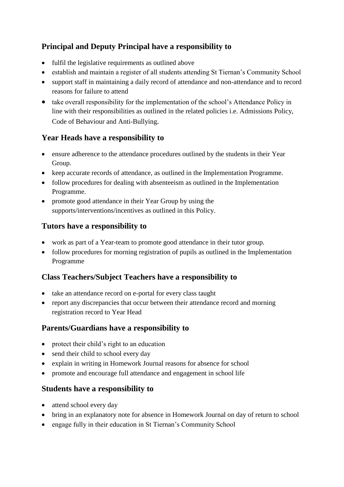# **Principal and Deputy Principal have a responsibility to**

- fulfil the legislative requirements as outlined above
- establish and maintain a register of all students attending St Tiernan's Community School
- support staff in maintaining a daily record of attendance and non-attendance and to record reasons for failure to attend
- take overall responsibility for the implementation of the school's Attendance Policy in line with their responsibilities as outlined in the related policies i.e. Admissions Policy, Code of Behaviour and Anti-Bullying.

# **Year Heads have a responsibility to**

- ensure adherence to the attendance procedures outlined by the students in their Year Group.
- keep accurate records of attendance, as outlined in the Implementation Programme.
- follow procedures for dealing with absenteeism as outlined in the Implementation Programme.
- promote good attendance in their Year Group by using the supports/interventions/incentives as outlined in this Policy.

## **Tutors have a responsibility to**

- work as part of a Year-team to promote good attendance in their tutor group.
- follow procedures for morning registration of pupils as outlined in the Implementation Programme

# **Class Teachers/Subject Teachers have a responsibility to**

- take an attendance record on e-portal for every class taught
- report any discrepancies that occur between their attendance record and morning registration record to Year Head

## **Parents/Guardians have a responsibility to**

- protect their child's right to an education
- send their child to school every day
- explain in writing in Homework Journal reasons for absence for school
- promote and encourage full attendance and engagement in school life

## **Students have a responsibility to**

- attend school every day
- bring in an explanatory note for absence in Homework Journal on day of return to school
- engage fully in their education in St Tiernan's Community School